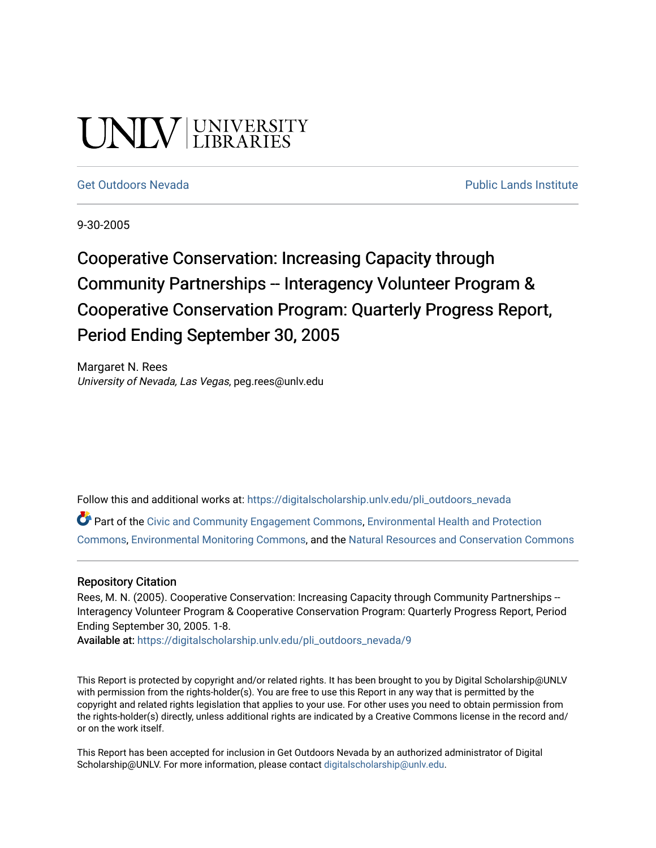# UNLV LIBRARIES

[Get Outdoors Nevada](https://digitalscholarship.unlv.edu/pli_outdoors_nevada) **Public Lands Institute** Public Lands Institute

9-30-2005

Cooperative Conservation: Increasing Capacity through Community Partnerships -- Interagency Volunteer Program & Cooperative Conservation Program: Quarterly Progress Report, Period Ending September 30, 2005

Margaret N. Rees University of Nevada, Las Vegas, peg.rees@unlv.edu

Follow this and additional works at: [https://digitalscholarship.unlv.edu/pli\\_outdoors\\_nevada](https://digitalscholarship.unlv.edu/pli_outdoors_nevada?utm_source=digitalscholarship.unlv.edu%2Fpli_outdoors_nevada%2F9&utm_medium=PDF&utm_campaign=PDFCoverPages)

Part of the [Civic and Community Engagement Commons](http://network.bepress.com/hgg/discipline/1028?utm_source=digitalscholarship.unlv.edu%2Fpli_outdoors_nevada%2F9&utm_medium=PDF&utm_campaign=PDFCoverPages), [Environmental Health and Protection](http://network.bepress.com/hgg/discipline/172?utm_source=digitalscholarship.unlv.edu%2Fpli_outdoors_nevada%2F9&utm_medium=PDF&utm_campaign=PDFCoverPages)  [Commons](http://network.bepress.com/hgg/discipline/172?utm_source=digitalscholarship.unlv.edu%2Fpli_outdoors_nevada%2F9&utm_medium=PDF&utm_campaign=PDFCoverPages), [Environmental Monitoring Commons,](http://network.bepress.com/hgg/discipline/931?utm_source=digitalscholarship.unlv.edu%2Fpli_outdoors_nevada%2F9&utm_medium=PDF&utm_campaign=PDFCoverPages) and the [Natural Resources and Conservation Commons](http://network.bepress.com/hgg/discipline/168?utm_source=digitalscholarship.unlv.edu%2Fpli_outdoors_nevada%2F9&utm_medium=PDF&utm_campaign=PDFCoverPages)

#### Repository Citation

Rees, M. N. (2005). Cooperative Conservation: Increasing Capacity through Community Partnerships --Interagency Volunteer Program & Cooperative Conservation Program: Quarterly Progress Report, Period Ending September 30, 2005. 1-8.

Available at: [https://digitalscholarship.unlv.edu/pli\\_outdoors\\_nevada/9](https://digitalscholarship.unlv.edu/pli_outdoors_nevada/9)

This Report is protected by copyright and/or related rights. It has been brought to you by Digital Scholarship@UNLV with permission from the rights-holder(s). You are free to use this Report in any way that is permitted by the copyright and related rights legislation that applies to your use. For other uses you need to obtain permission from the rights-holder(s) directly, unless additional rights are indicated by a Creative Commons license in the record and/ or on the work itself.

This Report has been accepted for inclusion in Get Outdoors Nevada by an authorized administrator of Digital Scholarship@UNLV. For more information, please contact [digitalscholarship@unlv.edu.](mailto:digitalscholarship@unlv.edu)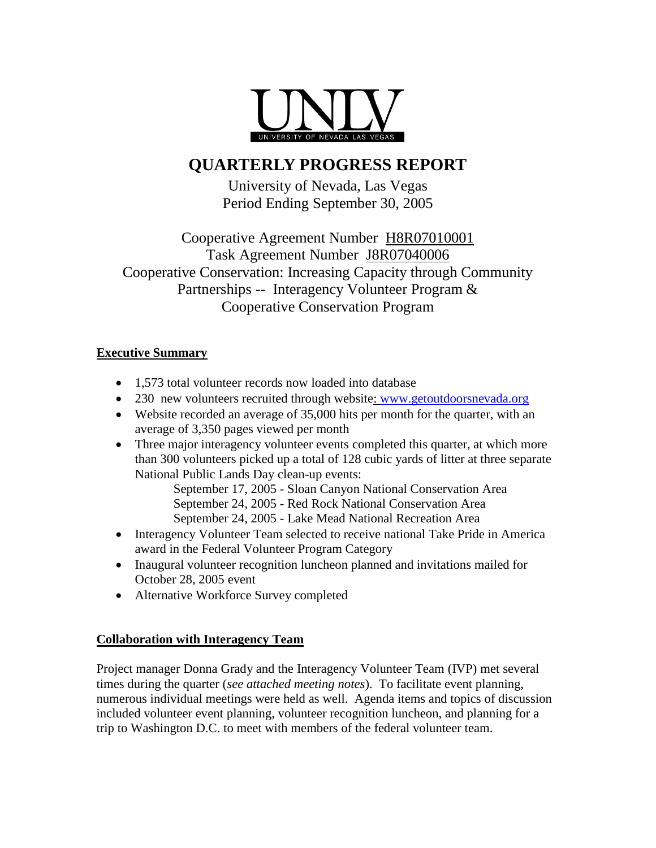

## **QUARTERLY PROGRESS REPORT**

University of Nevada, Las Vegas Period Ending September 30, 2005

Cooperative Agreement Number H8R07010001 Task Agreement Number J8R07040006 Cooperative Conservation: Increasing Capacity through Community Partnerships -- Interagency Volunteer Program & Cooperative Conservation Program

#### **Executive Summary**

- 1,573 total volunteer records now loaded into database
- 230 new volunteers recruited through website: [www.getoutdoorsnevada.org](http://www.getoutdoorsnevada.org/)
- Website recorded an average of 35,000 hits per month for the quarter, with an average of 3,350 pages viewed per month
- Three major interagency volunteer events completed this quarter, at which more than 300 volunteers picked up a total of 128 cubic yards of litter at three separate National Public Lands Day clean-up events:

September 17, 2005 - Sloan Canyon National Conservation Area September 24, 2005 - Red Rock National Conservation Area September 24, 2005 - Lake Mead National Recreation Area

- Interagency Volunteer Team selected to receive national Take Pride in America award in the Federal Volunteer Program Category
- Inaugural volunteer recognition luncheon planned and invitations mailed for October 28, 2005 event
- Alternative Workforce Survey completed

#### **Collaboration with Interagency Team**

Project manager Donna Grady and the Interagency Volunteer Team (IVP) met several times during the quarter (*see attached meeting notes*). To facilitate event planning, numerous individual meetings were held as well. Agenda items and topics of discussion included volunteer event planning, volunteer recognition luncheon, and planning for a trip to Washington D.C. to meet with members of the federal volunteer team.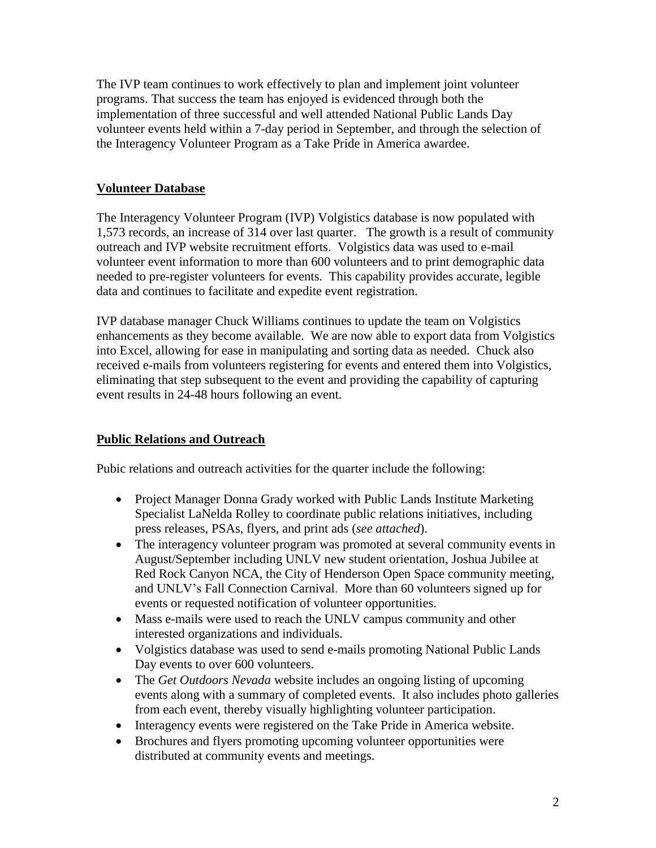The IVP team continues to work effectively to plan and implement joint volunteer programs. That success the team has enjoyed is evidenced through both the implementation of three successful and well attended National Public Lands Day volunteer events held within a 7-day period in September, and through the selection of the Interagency Volunteer Program as a Take Pride in America awardee.

#### **Volunteer Database**

The Interagency Volunteer Program (IVP) Volgistics database is now populated with 1,573 records, an increase of 314 over last quarter. The growth is a result of community outreach and IVP website recruitment efforts. Volgistics data was used to e-mail volunteer event information to more than 600 volunteers and to print demographic data needed to pre-register volunteers for events. This capability provides accurate, legible data and continues to facilitate and expedite event registration.

IVP database manager Chuck Williams continues to update the team on Volgistics enhancements as they become available. We are now able to export data from Volgistics into Excel, allowing for ease in manipulating and sorting data as needed. Chuck also received e-mails from volunteers registering for events and entered them into Volgistics, eliminating that step subsequent to the event and providing the capability of capturing event results in 24-48 hours following an event.

#### **Public Relations and Outreach**

Pubic relations and outreach activities for the quarter include the following:

- Project Manager Donna Grady worked with Public Lands Institute Marketing Specialist LaNelda Rolley to coordinate public relations initiatives, including press releases, PSAs, flyers, and print ads (*see attached*).
- The interagency volunteer program was promoted at several community events in August/September including UNLV new student orientation, Joshua Jubilee at Red Rock Canyon NCA, the City of Henderson Open Space community meeting, and UNLV's Fall Connection Carnival. More than 60 volunteers signed up for events or requested notification of volunteer opportunities.
- Mass e-mails were used to reach the UNLV campus community and other interested organizations and individuals.
- Volgistics database was used to send e-mails promoting National Public Lands Day events to over 600 volunteers.
- The *Get Outdoors Nevada* website includes an ongoing listing of upcoming events along with a summary of completed events. It also includes photo galleries from each event, thereby visually highlighting volunteer participation.
- Interagency events were registered on the Take Pride in America website.
- Brochures and flyers promoting upcoming volunteer opportunities were distributed at community events and meetings.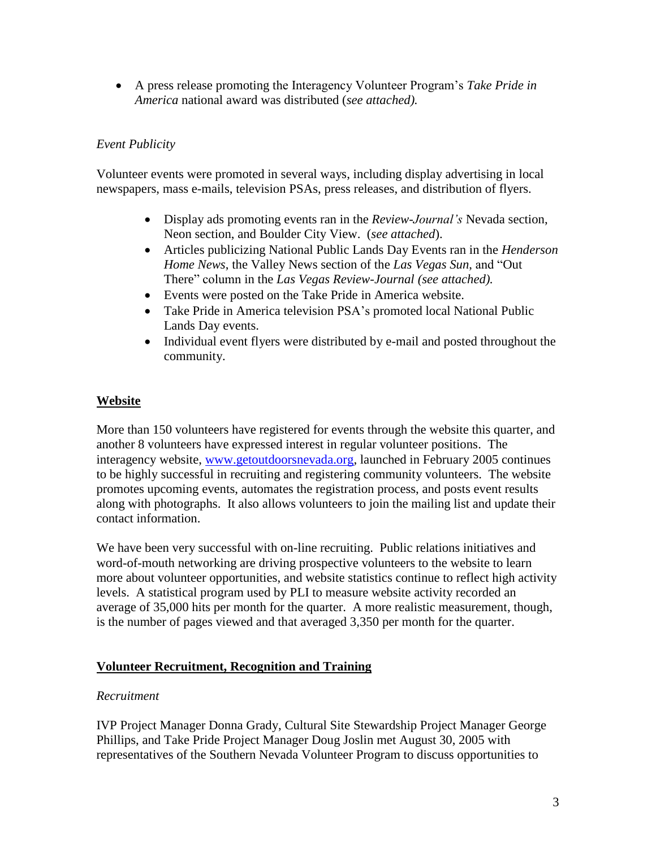A press release promoting the Interagency Volunteer Program's *Take Pride in America* national award was distributed (*see attached).*

#### *Event Publicity*

Volunteer events were promoted in several ways, including display advertising in local newspapers, mass e-mails, television PSAs, press releases, and distribution of flyers.

- Display ads promoting events ran in the *Review-Journal's* Nevada section, Neon section, and Boulder City View. (*see attached*).
- Articles publicizing National Public Lands Day Events ran in the *Henderson Home News*, the Valley News section of the *Las Vegas Sun*, and "Out There" column in the *Las Vegas Review-Journal (see attached).*
- Events were posted on the Take Pride in America website.
- Take Pride in America television PSA's promoted local National Public Lands Day events.
- Individual event flyers were distributed by e-mail and posted throughout the community.

#### **Website**

More than 150 volunteers have registered for events through the website this quarter, and another 8 volunteers have expressed interest in regular volunteer positions. The interagency website, [www.getoutdoorsnevada.org,](http://www.getoutdoorsnevada.org/) launched in February 2005 continues to be highly successful in recruiting and registering community volunteers. The website promotes upcoming events, automates the registration process, and posts event results along with photographs. It also allows volunteers to join the mailing list and update their contact information.

We have been very successful with on-line recruiting. Public relations initiatives and word-of-mouth networking are driving prospective volunteers to the website to learn more about volunteer opportunities, and website statistics continue to reflect high activity levels. A statistical program used by PLI to measure website activity recorded an average of 35,000 hits per month for the quarter. A more realistic measurement, though, is the number of pages viewed and that averaged 3,350 per month for the quarter.

### **Volunteer Recruitment, Recognition and Training**

#### *Recruitment*

IVP Project Manager Donna Grady, Cultural Site Stewardship Project Manager George Phillips, and Take Pride Project Manager Doug Joslin met August 30, 2005 with representatives of the Southern Nevada Volunteer Program to discuss opportunities to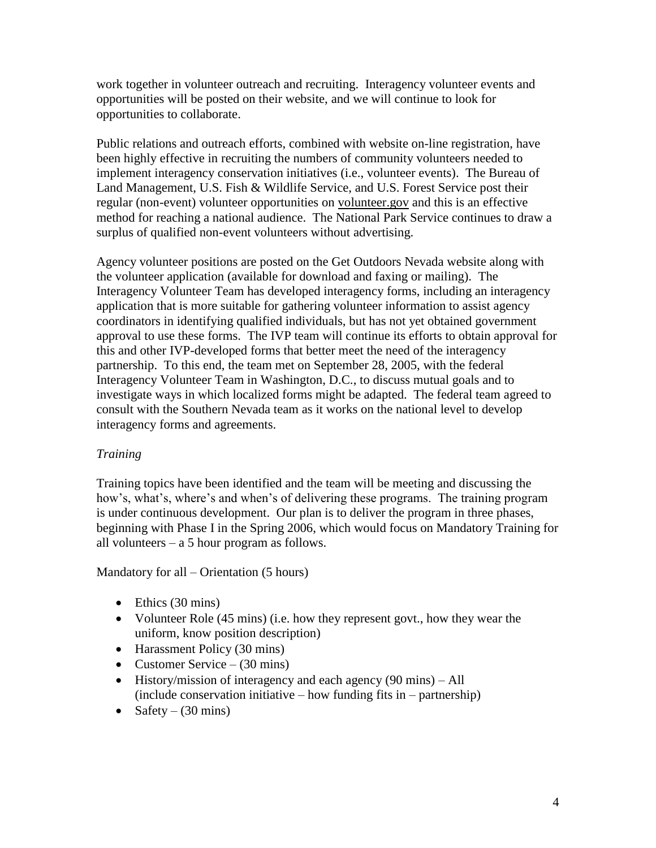work together in volunteer outreach and recruiting. Interagency volunteer events and opportunities will be posted on their website, and we will continue to look for opportunities to collaborate.

Public relations and outreach efforts, combined with website on-line registration, have been highly effective in recruiting the numbers of community volunteers needed to implement interagency conservation initiatives (i.e., volunteer events). The Bureau of Land Management, U.S. Fish & Wildlife Service, and U.S. Forest Service post their regular (non-event) volunteer opportunities on volunteer.gov and this is an effective method for reaching a national audience. The National Park Service continues to draw a surplus of qualified non-event volunteers without advertising.

Agency volunteer positions are posted on the Get Outdoors Nevada website along with the volunteer application (available for download and faxing or mailing). The Interagency Volunteer Team has developed interagency forms, including an interagency application that is more suitable for gathering volunteer information to assist agency coordinators in identifying qualified individuals, but has not yet obtained government approval to use these forms. The IVP team will continue its efforts to obtain approval for this and other IVP-developed forms that better meet the need of the interagency partnership. To this end, the team met on September 28, 2005, with the federal Interagency Volunteer Team in Washington, D.C., to discuss mutual goals and to investigate ways in which localized forms might be adapted. The federal team agreed to consult with the Southern Nevada team as it works on the national level to develop interagency forms and agreements.

#### *Training*

Training topics have been identified and the team will be meeting and discussing the how's, what's, where's and when's of delivering these programs. The training program is under continuous development. Our plan is to deliver the program in three phases, beginning with Phase I in the Spring 2006, which would focus on Mandatory Training for all volunteers – a 5 hour program as follows.

Mandatory for all – Orientation (5 hours)

- $\bullet$  Ethics (30 mins)
- Volunteer Role (45 mins) (i.e. how they represent govt., how they wear the uniform, know position description)
- Harassment Policy (30 mins)
- Customer Service  $(30 \text{ mins})$
- $\bullet$  History/mission of interagency and each agency (90 mins) All (include conservation initiative – how funding fits in – partnership)
- Safety  $(30 \text{ mins})$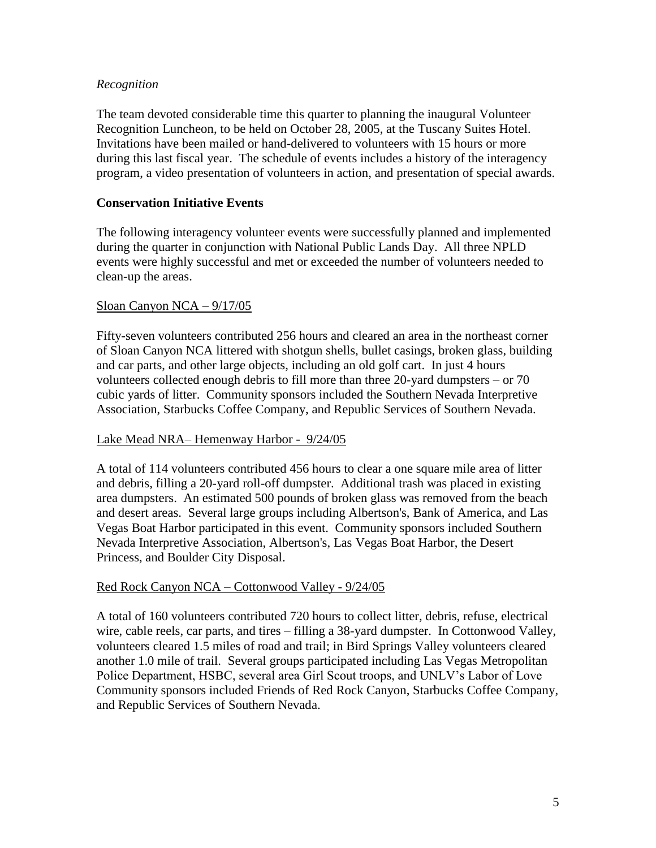#### *Recognition*

The team devoted considerable time this quarter to planning the inaugural Volunteer Recognition Luncheon, to be held on October 28, 2005, at the Tuscany Suites Hotel. Invitations have been mailed or hand-delivered to volunteers with 15 hours or more during this last fiscal year. The schedule of events includes a history of the interagency program, a video presentation of volunteers in action, and presentation of special awards.

#### **Conservation Initiative Events**

The following interagency volunteer events were successfully planned and implemented during the quarter in conjunction with National Public Lands Day. All three NPLD events were highly successful and met or exceeded the number of volunteers needed to clean-up the areas.

#### Sloan Canyon NCA – 9/17/05

Fifty-seven volunteers contributed 256 hours and cleared an area in the northeast corner of Sloan Canyon NCA littered with shotgun shells, bullet casings, broken glass, building and car parts, and other large objects, including an old golf cart. In just 4 hours volunteers collected enough debris to fill more than three 20-yard dumpsters – or 70 cubic yards of litter. Community sponsors included the Southern Nevada Interpretive Association, Starbucks Coffee Company, and Republic Services of Southern Nevada.

#### Lake Mead NRA– Hemenway Harbor - 9/24/05

A total of 114 volunteers contributed 456 hours to clear a one square mile area of litter and debris, filling a 20-yard roll-off dumpster. Additional trash was placed in existing area dumpsters. An estimated 500 pounds of broken glass was removed from the beach and desert areas. Several large groups including Albertson's, Bank of America, and Las Vegas Boat Harbor participated in this event. Community sponsors included Southern Nevada Interpretive Association, Albertson's, Las Vegas Boat Harbor, the Desert Princess, and Boulder City Disposal.

#### Red Rock Canyon NCA – Cottonwood Valley - 9/24/05

A total of 160 volunteers contributed 720 hours to collect litter, debris, refuse, electrical wire, cable reels, car parts, and tires – filling a 38-yard dumpster. In Cottonwood Valley, volunteers cleared 1.5 miles of road and trail; in Bird Springs Valley volunteers cleared another 1.0 mile of trail. Several groups participated including Las Vegas Metropolitan Police Department, HSBC, several area Girl Scout troops, and UNLV's Labor of Love Community sponsors included Friends of Red Rock Canyon, Starbucks Coffee Company, and Republic Services of Southern Nevada.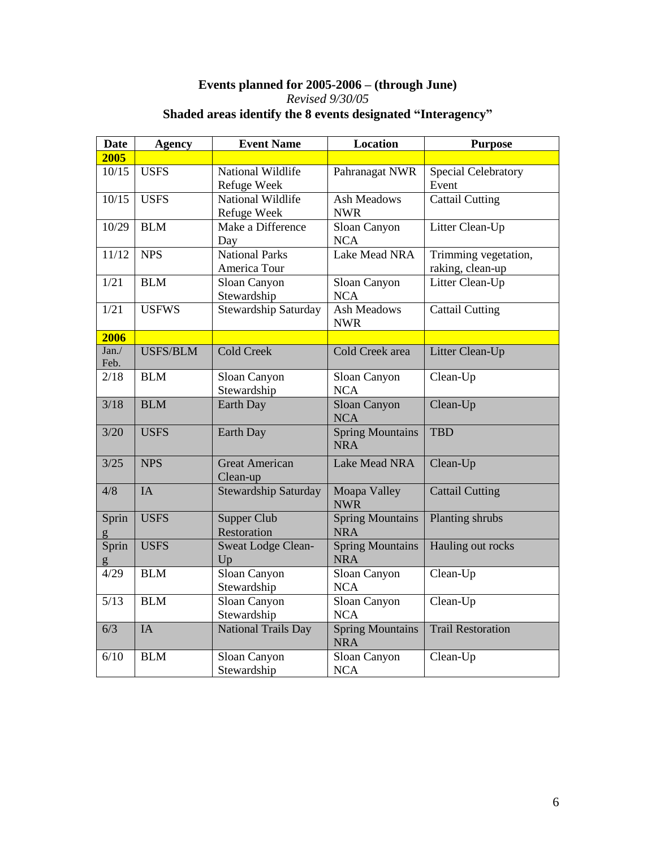#### **Events planned for 2005-2006 – (through June)** *Revised 9/30/05* **Shaded areas identify the 8 events designated "Interagency"**

| <b>Date</b>   | <b>Agency</b>   | <b>Event Name</b>                     | <b>Location</b>                       | <b>Purpose</b>                           |
|---------------|-----------------|---------------------------------------|---------------------------------------|------------------------------------------|
| 2005          |                 |                                       |                                       |                                          |
| 10/15         | <b>USFS</b>     | National Wildlife<br>Refuge Week      | Pahranagat NWR                        | <b>Special Celebratory</b><br>Event      |
| 10/15         | <b>USFS</b>     | National Wildlife<br>Refuge Week      | <b>Ash Meadows</b><br><b>NWR</b>      | <b>Cattail Cutting</b>                   |
| 10/29         | <b>BLM</b>      | Make a Difference<br>Day              | Sloan Canyon<br><b>NCA</b>            | Litter Clean-Up                          |
| 11/12         | <b>NPS</b>      | <b>National Parks</b><br>America Tour | Lake Mead NRA                         | Trimming vegetation,<br>raking, clean-up |
| 1/21          | <b>BLM</b>      | Sloan Canyon<br>Stewardship           | Sloan Canyon<br><b>NCA</b>            | Litter Clean-Up                          |
| 1/21          | <b>USFWS</b>    | <b>Stewardship Saturday</b>           | <b>Ash Meadows</b><br><b>NWR</b>      | <b>Cattail Cutting</b>                   |
| 2006          |                 |                                       |                                       |                                          |
| Jan./<br>Feb. | <b>USFS/BLM</b> | <b>Cold Creek</b>                     | <b>Cold Creek area</b>                | Litter Clean-Up                          |
| 2/18          | <b>BLM</b>      | Sloan Canyon<br>Stewardship           | Sloan Canyon<br><b>NCA</b>            | Clean-Up                                 |
| 3/18          | <b>BLM</b>      | <b>Earth Day</b>                      | Sloan Canyon<br><b>NCA</b>            | Clean-Up                                 |
| 3/20          | <b>USFS</b>     | <b>Earth Day</b>                      | <b>Spring Mountains</b><br><b>NRA</b> | <b>TBD</b>                               |
| 3/25          | <b>NPS</b>      | <b>Great American</b><br>Clean-up     | <b>Lake Mead NRA</b>                  | Clean-Up                                 |
| 4/8           | <b>IA</b>       | Stewardship Saturday                  | Moapa Valley<br><b>NWR</b>            | <b>Cattail Cutting</b>                   |
| Sprin         | <b>USFS</b>     | Supper Club<br>Restoration            | <b>Spring Mountains</b><br><b>NRA</b> | Planting shrubs                          |
| Sprin         | <b>USFS</b>     | <b>Sweat Lodge Clean-</b><br>Up       | <b>Spring Mountains</b><br><b>NRA</b> | Hauling out rocks                        |
| 4/29          | <b>BLM</b>      | Sloan Canyon<br>Stewardship           | Sloan Canyon<br><b>NCA</b>            | Clean-Up                                 |
| 5/13          | <b>BLM</b>      | Sloan Canyon<br>Stewardship           | Sloan Canyon<br><b>NCA</b>            | Clean-Up                                 |
| 6/3           | IA              | <b>National Trails Day</b>            | <b>Spring Mountains</b><br><b>NRA</b> | <b>Trail Restoration</b>                 |
| 6/10          | <b>BLM</b>      | Sloan Canyon<br>Stewardship           | Sloan Canyon<br><b>NCA</b>            | Clean-Up                                 |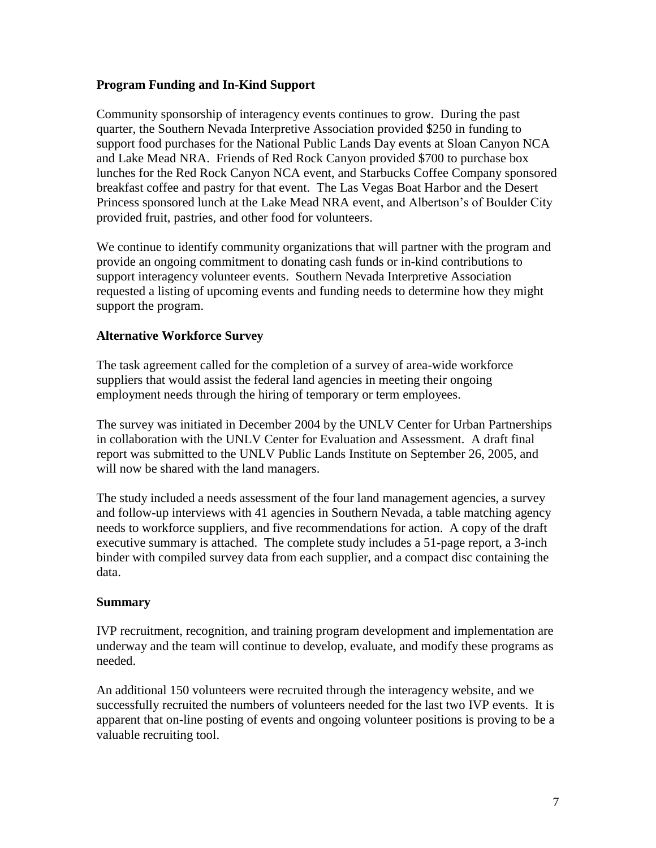#### **Program Funding and In-Kind Support**

Community sponsorship of interagency events continues to grow. During the past quarter, the Southern Nevada Interpretive Association provided \$250 in funding to support food purchases for the National Public Lands Day events at Sloan Canyon NCA and Lake Mead NRA. Friends of Red Rock Canyon provided \$700 to purchase box lunches for the Red Rock Canyon NCA event, and Starbucks Coffee Company sponsored breakfast coffee and pastry for that event. The Las Vegas Boat Harbor and the Desert Princess sponsored lunch at the Lake Mead NRA event, and Albertson's of Boulder City provided fruit, pastries, and other food for volunteers.

We continue to identify community organizations that will partner with the program and provide an ongoing commitment to donating cash funds or in-kind contributions to support interagency volunteer events. Southern Nevada Interpretive Association requested a listing of upcoming events and funding needs to determine how they might support the program.

#### **Alternative Workforce Survey**

The task agreement called for the completion of a survey of area-wide workforce suppliers that would assist the federal land agencies in meeting their ongoing employment needs through the hiring of temporary or term employees.

The survey was initiated in December 2004 by the UNLV Center for Urban Partnerships in collaboration with the UNLV Center for Evaluation and Assessment. A draft final report was submitted to the UNLV Public Lands Institute on September 26, 2005, and will now be shared with the land managers.

The study included a needs assessment of the four land management agencies, a survey and follow-up interviews with 41 agencies in Southern Nevada, a table matching agency needs to workforce suppliers, and five recommendations for action. A copy of the draft executive summary is attached. The complete study includes a 51-page report, a 3-inch binder with compiled survey data from each supplier, and a compact disc containing the data.

#### **Summary**

IVP recruitment, recognition, and training program development and implementation are underway and the team will continue to develop, evaluate, and modify these programs as needed.

An additional 150 volunteers were recruited through the interagency website, and we successfully recruited the numbers of volunteers needed for the last two IVP events. It is apparent that on-line posting of events and ongoing volunteer positions is proving to be a valuable recruiting tool.